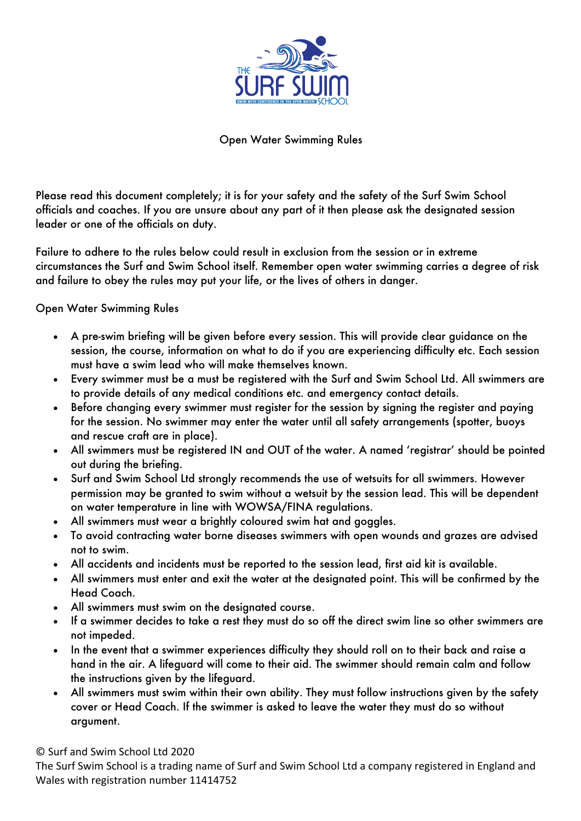

Open Water Swimming Rules

Please read this document completely; it is for your safety and the safety of the Surf Swim School officials and coaches. If you are unsure about any part of it then please ask the designated session leader or one of the officials on duty.

Failure to adhere to the rules below could result in exclusion from the session or in extreme circumstances the Surf and Swim School itself. Remember open water swimming carries a degree of risk and failure to obey the rules may put your life, or the lives of others in danger.

Open Water Swimming Rules

- A pre-swim briefing will be given before every session. This will provide clear guidance on the session, the course, information on what to do if you are experiencing difficulty etc. Each session must have a swim lead who will make themselves known.
- Every swimmer must be a must be registered with the Surf and Swim School Ltd. All swimmers are to provide details of any medical conditions etc. and emergency contact details.
- Before changing every swimmer must register for the session by signing the register and paying for the session. No swimmer may enter the water until all safety arrangements (spotter, buoys and rescue craft are in place).
- All swimmers must be registered IN and OUT of the water. A named 'registrar' should be pointed out during the briefing.
- Surf and Swim School Ltd strongly recommends the use of wetsuits for all swimmers. However permission may be granted to swim without a wetsuit by the session lead. This will be dependent on water temperature in line with WOWSA/FINA regulations.
- All swimmers must wear a brightly coloured swim hat and goggles.
- To avoid contracting water borne diseases swimmers with open wounds and grazes are advised not to swim.
- All accidents and incidents must be reported to the session lead, first aid kit is available.
- All swimmers must enter and exit the water at the designated point. This will be confirmed by the Head Coach.
- All swimmers must swim on the designated course.
- If a swimmer decides to take a rest they must do so off the direct swim line so other swimmers are not impeded.
- In the event that a swimmer experiences difficulty they should roll on to their back and raise a hand in the air. A lifeguard will come to their aid. The swimmer should remain calm and follow the instructions given by the lifeguard.
- All swimmers must swim within their own ability. They must follow instructions given by the safety cover or Head Coach. If the swimmer is asked to leave the water they must do so without argument.

© Surf and Swim School Ltd 2020

The Surf Swim School is a trading name of Surf and Swim School Ltd a company registered in England and Wales with registration number 11414752